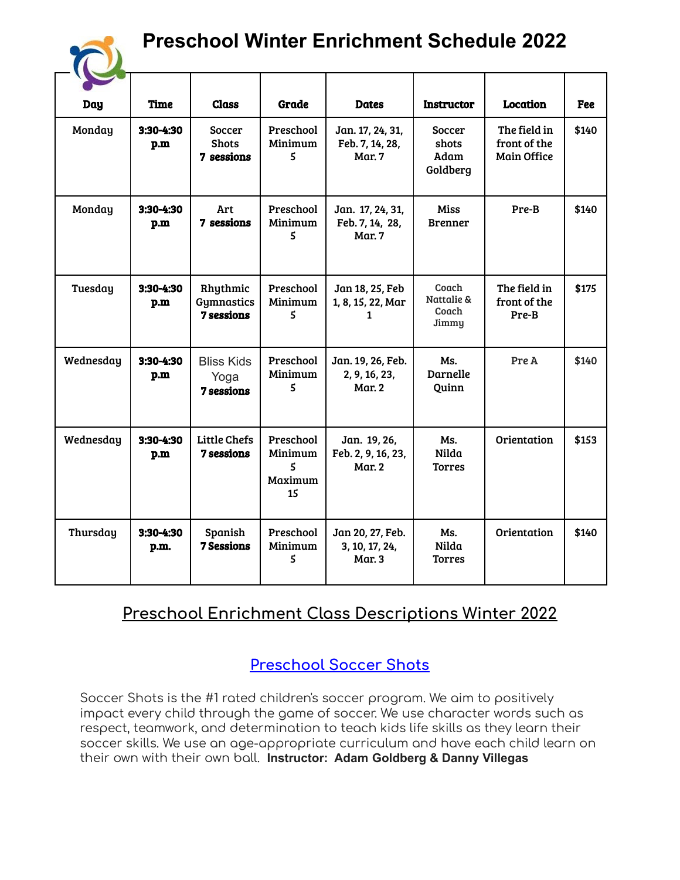# **Preschool Winter Enrichment Schedule 2022**

| <b>Day</b> | <b>Time</b>        | <b>Class</b>                                   | Grade                                      | <b>Dates</b>                                         | <b>Instructor</b>                          | <b>Location</b>                                    | Fee   |
|------------|--------------------|------------------------------------------------|--------------------------------------------|------------------------------------------------------|--------------------------------------------|----------------------------------------------------|-------|
| Monday     | 3:30-4:30<br>p.m   | Soccer<br><b>Shots</b><br>7 sessions           | Preschool<br>Minimum<br>5                  | Jan. 17, 24, 31,<br>Feb. 7, 14, 28,<br><b>Mar. 7</b> | <b>Soccer</b><br>shots<br>Adam<br>Goldberg | The field in<br>front of the<br><b>Main Office</b> | \$140 |
| Monday     | 3:30-4:30<br>p.m   | Art<br>7 sessions                              | Preschool<br>Minimum<br>5                  | Jan. 17, 24, 31,<br>Feb. 7, 14, 28,<br><b>Mar. 7</b> | <b>Miss</b><br><b>Brenner</b>              | Pre-B                                              | \$140 |
| Tuesday    | $3:30-4:30$<br>p.m | Rhythmic<br>Gymnastics<br><b>7 sessions</b>    | Preschool<br>Minimum<br>5                  | Jan 18, 25, Feb<br>1, 8, 15, 22, Mar<br>1            | Coach<br>Nattalie &<br>Coach<br>Jimmy      | The field in<br>front of the<br>Pre-B              | \$175 |
| Wednesday  | 3:30-4:30<br>p.m   | <b>Bliss Kids</b><br>Yoga<br><b>7 sessions</b> | Preschool<br>Minimum<br>5                  | Jan. 19, 26, Feb.<br>2, 9, 16, 23,<br>Mar. 2         | Ms.<br><b>Darnelle</b><br>Quinn            | Pre A                                              | \$140 |
| Wednesday  | 3:30-4:30<br>p.m   | <b>Little Chefs</b><br><b>7 sessions</b>       | Preschool<br>Minimum<br>5<br>Maximum<br>15 | Jan. 19, 26,<br>Feb. 2, 9, 16, 23,<br><b>Mar. 2</b>  | Ms.<br>Nilda<br><b>Torres</b>              | Orientation                                        | \$153 |
| Thursday   | 3:30-4:30<br>p.m.  | Spanish<br><b>7 Sessions</b>                   | Preschool<br>Minimum<br>5                  | Jan 20, 27, Feb.<br>3, 10, 17, 24,<br><b>Mar. 3</b>  | Ms.<br>Nilda<br><b>Torres</b>              | Orientation                                        | \$140 |

## **Preschool Enrichment Class Descriptions Winter 2022**

### **Preschool Soccer Shots**

Soccer Shots is the #1 rated children's soccer program. We aim to positively impact every child through the game of soccer. We use character words such as respect, teamwork, and determination to teach kids life skills as they learn their soccer skills. We use an age-appropriate curriculum and have each child learn on their own with their own ball. **Instructor: Adam Goldberg & Danny Villegas**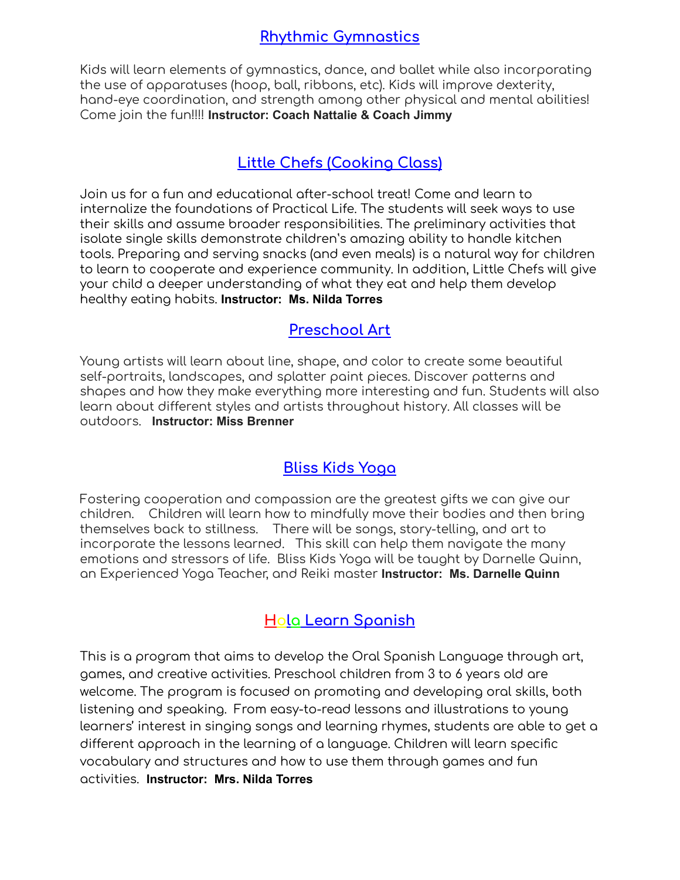#### **Rhythmic Gymnastics**

Kids will learn elements of gymnastics, dance, and ballet while also incorporating the use of apparatuses (hoop, ball, ribbons, etc). Kids will improve dexterity, hand-eye coordination, and strength among other physical and mental abilities! Come join the fun!!!! **Instructor: Coach Nattalie & Coach Jimmy**

#### **Little Chefs (Cooking Class)**

Join us for a fun and educational after-school treat! Come and learn to internalize the foundations of Practical Life. The students will seek ways to use their skills and assume broader responsibilities. The preliminary activities that isolate single skills demonstrate children's amazing ability to handle kitchen tools. Preparing and serving snacks (and even meals) is a natural way for children to learn to cooperate and experience community. In addition, Little Chefs will give your child a deeper understanding of what they eat and help them develop healthy eating habits. **Instructor: Ms. Nilda Torres**

#### **Preschool Art**

Young artists will learn about line, shape, and color to create some beautiful self-portraits, landscapes, and splatter paint pieces. Discover patterns and shapes and how they make everything more interesting and fun. Students will also learn about different styles and artists throughout history. All classes will be outdoors. **Instructor: Miss Brenner**

#### **Bliss Kids Yoga**

Fostering cooperation and compassion are the greatest gifts we can give our children. Children will learn how to mindfully move their bodies and then bring themselves back to stillness. There will be songs, story-telling, and art to incorporate the lessons learned. This skill can help them navigate the many emotions and stressors of life. Bliss Kids Yoga will be taught by Darnelle Quinn, an Experienced Yoga Teacher, and Reiki master **Instructor: Ms. Darnelle Quinn**

#### **Hola Learn Spanish**

This is a program that aims to develop the Oral Spanish Language through art, games, and creative activities. Preschool children from 3 to 6 years old are welcome. The program is focused on promoting and developing oral skills, both listening and speaking. From easy-to-read lessons and illustrations to young learners' interest in singing songs and learning rhymes, students are able to get a different approach in the learning of a language. Children will learn specific vocabulary and structures and how to use them through games and fun activities. **Instructor: Mrs. Nilda Torres**